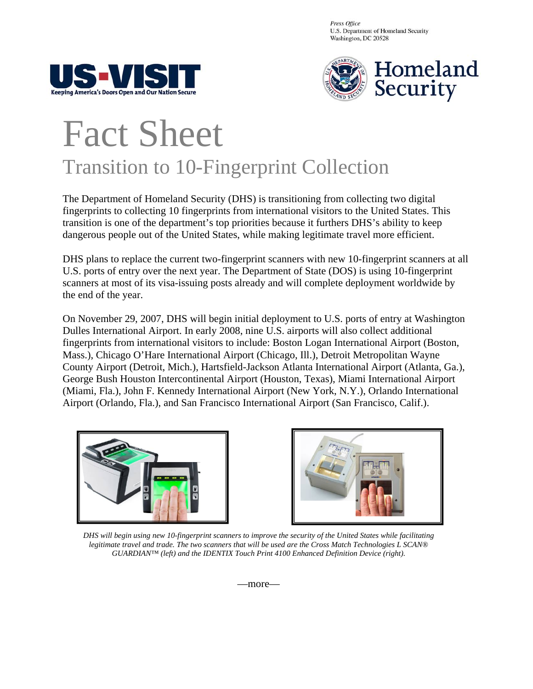Press Office U.S. Department of Homeland Security Washington, DC 20528





## Fact Sheet Transition to 10-Fingerprint Collection

The Department of Homeland Security (DHS) is transitioning from collecting two digital fingerprints to collecting 10 fingerprints from international visitors to the United States. This transition is one of the department's top priorities because it furthers DHS's ability to keep dangerous people out of the United States, while making legitimate travel more efficient.

DHS plans to replace the current two-fingerprint scanners with new 10-fingerprint scanners at all U.S. ports of entry over the next year. The Department of State (DOS) is using 10-fingerprint scanners at most of its visa-issuing posts already and will complete deployment worldwide by the end of the year.

On November 29, 2007, DHS will begin initial deployment to U.S. ports of entry at Washington Dulles International Airport. In early 2008, nine U.S. airports will also collect additional fingerprints from international visitors to include: Boston Logan International Airport (Boston, Mass.), Chicago O'Hare International Airport (Chicago, Ill.), Detroit Metropolitan Wayne County Airport (Detroit, Mich.), Hartsfield-Jackson Atlanta International Airport (Atlanta, Ga.), George Bush Houston Intercontinental Airport (Houston, Texas), Miami International Airport (Miami, Fla.), John F. Kennedy International Airport (New York, N.Y.), Orlando International Airport (Orlando, Fla.), and San Francisco International Airport (San Francisco, Calif.).





*DHS will begin using new 10-fingerprint scanners to improve the security of the United States while facilitating legitimate travel and trade. The two scanners that will be used are the Cross Match Technologies L SCAN® GUARDIAN™ (left) and the IDENTIX Touch Print 4100 Enhanced Definition Device (right).* 

—more—